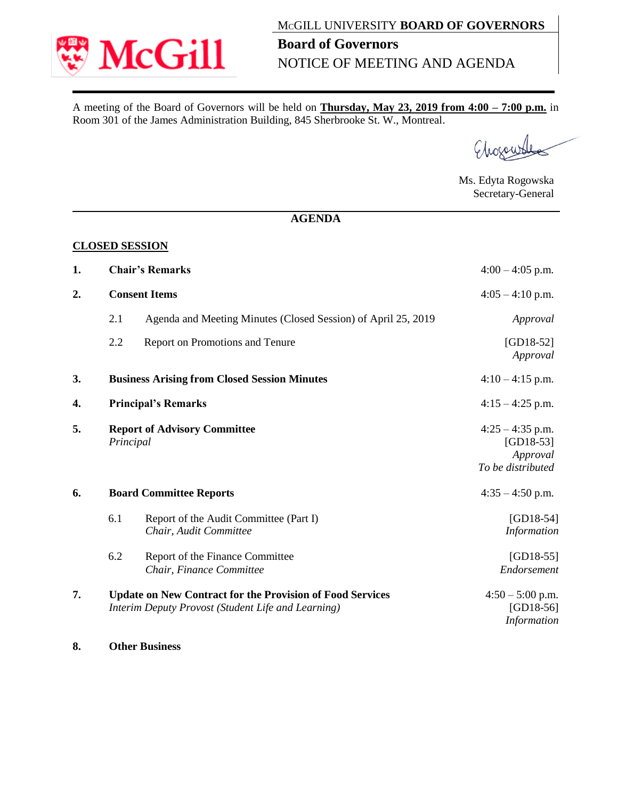

A meeting of the Board of Governors will be held on **Thursday, May 23, 2019 from 4:00 – 7:00 p.m.** in Room 301 of the James Administration Building, 845 Sherbrooke St. W., Montreal.

Chocow

Ms. Edyta Rogowska Secretary-General

## **AGENDA**

## **CLOSED SESSION**

| 1. | <b>Chair's Remarks</b>                                                                                                 |                                                                  | $4:00 - 4:05$ p.m.                                                 |
|----|------------------------------------------------------------------------------------------------------------------------|------------------------------------------------------------------|--------------------------------------------------------------------|
| 2. | <b>Consent Items</b>                                                                                                   |                                                                  | $4:05 - 4:10$ p.m.                                                 |
|    | 2.1                                                                                                                    | Agenda and Meeting Minutes (Closed Session) of April 25, 2019    | Approval                                                           |
|    | 2.2                                                                                                                    | Report on Promotions and Tenure                                  | $[GD18-52]$<br>Approval                                            |
| 3. | <b>Business Arising from Closed Session Minutes</b>                                                                    |                                                                  | $4:10-4:15$ p.m.                                                   |
| 4. | <b>Principal's Remarks</b>                                                                                             |                                                                  | $4:15 - 4:25$ p.m.                                                 |
| 5. | <b>Report of Advisory Committee</b><br>Principal                                                                       |                                                                  | $4:25 - 4:35$ p.m.<br>$[GD18-53]$<br>Approval<br>To be distributed |
| 6. | <b>Board Committee Reports</b>                                                                                         |                                                                  | $4:35 - 4:50$ p.m.                                                 |
|    | 6.1                                                                                                                    | Report of the Audit Committee (Part I)<br>Chair, Audit Committee | $[GD18-54]$<br>Information                                         |
|    | 6.2                                                                                                                    | Report of the Finance Committee<br>Chair, Finance Committee      | $[GD18-55]$<br>Endorsement                                         |
| 7. | <b>Update on New Contract for the Provision of Food Services</b><br>Interim Deputy Provost (Student Life and Learning) |                                                                  | $4:50 - 5:00$ p.m.<br>$[GD18-56]$<br>Information                   |

**8. Other Business**